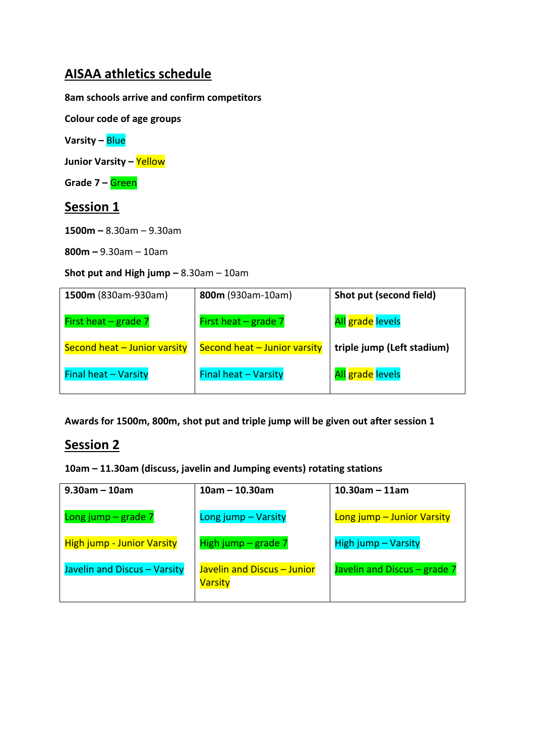### **AISAA athletics schedule**

**8am schools arrive and confirm competitors** 

**Colour code of age groups**

**Varsity –** Blue

**Junior Varsity –** Yellow

**Grade 7 –** Green

### **Session 1**

**1500m –** 8.30am – 9.30am

**800m –** 9.30am – 10am

#### **Shot put and High jump –** 8.30am – 10am

| 1500m (830am-930am)          | 800m (930am-10am)            | Shot put (second field)    |
|------------------------------|------------------------------|----------------------------|
| First heat $-$ grade $7$     | First heat $-$ grade $7$     | All grade levels           |
| Second heat - Junior varsity | Second heat - Junior varsity | triple jump (Left stadium) |
| <b>Final heat - Varsity</b>  | <b>Final heat - Varsity</b>  | All grade levels           |

**Awards for 1500m, 800m, shot put and triple jump will be given out after session 1**

## **Session 2**

**10am – 11.30am (discuss, javelin and Jumping events) rotating stations**

| $9.30$ am – 10am                  | $10am - 10.30am$                              | $10.30$ am – 11am            |
|-----------------------------------|-----------------------------------------------|------------------------------|
| Long jump $-$ grade $7$           | Long jump - Varsity                           | Long jump - Junior Varsity   |
| <b>High jump - Junior Varsity</b> | High jump $-$ grade $7$                       | <b>High jump - Varsity</b>   |
| Javelin and Discus - Varsity      | Javelin and Discus - Junior<br><b>Varsity</b> | Javelin and Discus – grade 7 |